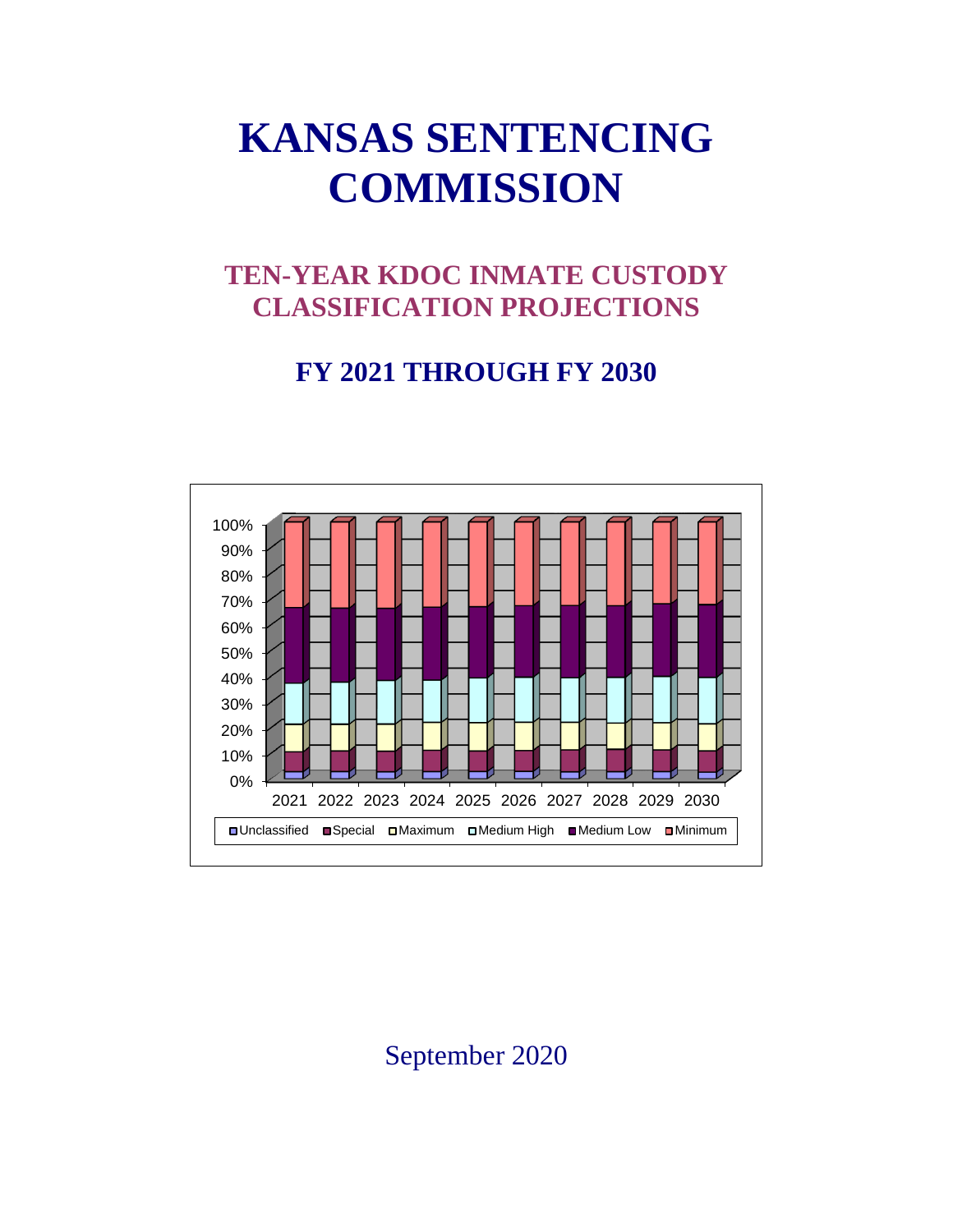# **KANSAS SENTENCING COMMISSION**

## **TEN-YEAR KDOC INMATE CUSTODY CLASSIFICATION PROJECTIONS**

### **FY 2021 THROUGH FY 2030**



September 2020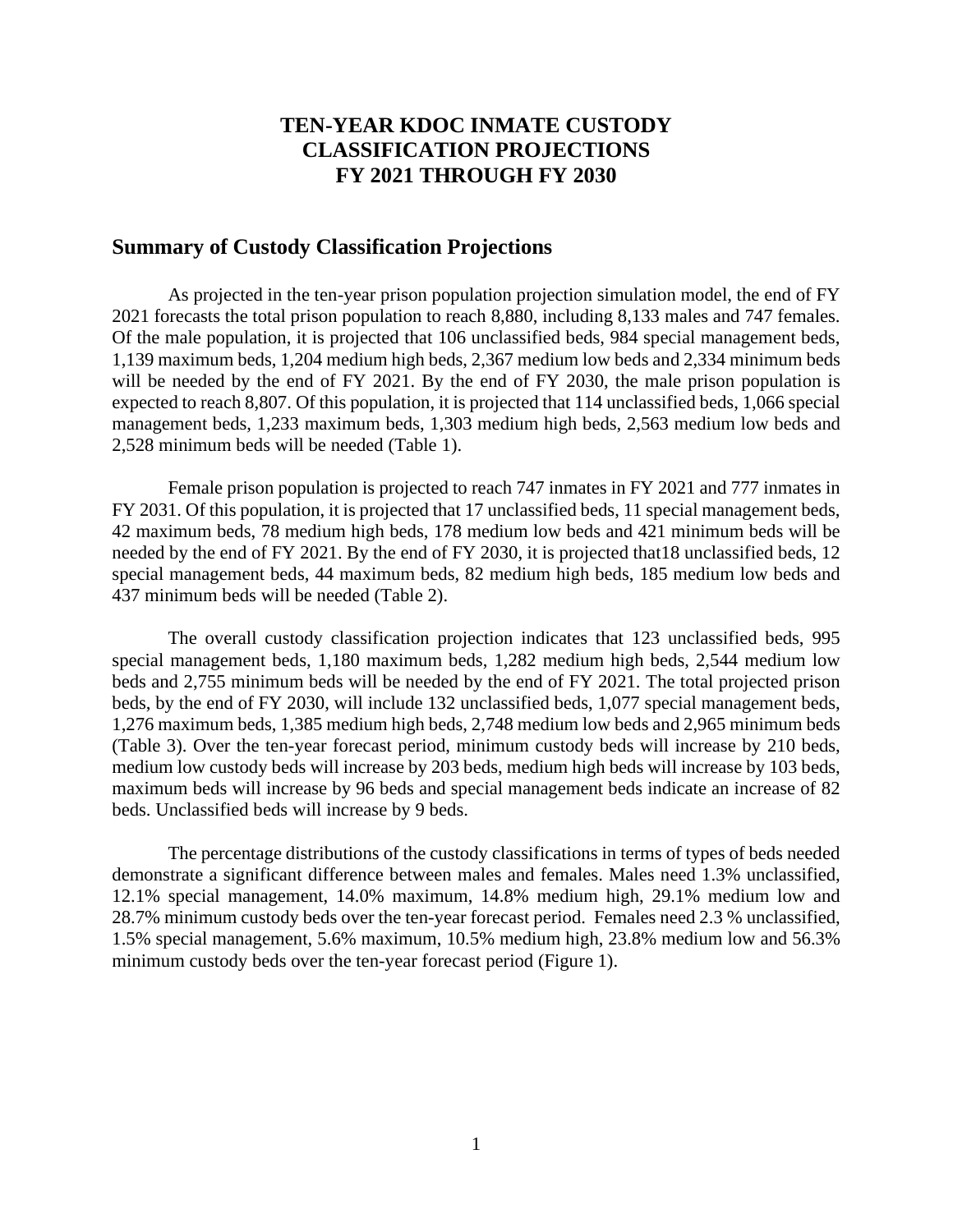#### **TEN-YEAR KDOC INMATE CUSTODY CLASSIFICATION PROJECTIONS FY 2021 THROUGH FY 2030**

#### **Summary of Custody Classification Projections**

As projected in the ten-year prison population projection simulation model, the end of FY 2021 forecasts the total prison population to reach 8,880, including 8,133 males and 747 females. Of the male population, it is projected that 106 unclassified beds, 984 special management beds, 1,139 maximum beds, 1,204 medium high beds, 2,367 medium low beds and 2,334 minimum beds will be needed by the end of FY 2021. By the end of FY 2030, the male prison population is expected to reach 8,807. Of this population, it is projected that 114 unclassified beds, 1,066 special management beds, 1,233 maximum beds, 1,303 medium high beds, 2,563 medium low beds and 2,528 minimum beds will be needed (Table 1).

Female prison population is projected to reach 747 inmates in FY 2021 and 777 inmates in FY 2031. Of this population, it is projected that 17 unclassified beds, 11 special management beds, 42 maximum beds, 78 medium high beds, 178 medium low beds and 421 minimum beds will be needed by the end of FY 2021. By the end of FY 2030, it is projected that18 unclassified beds, 12 special management beds, 44 maximum beds, 82 medium high beds, 185 medium low beds and 437 minimum beds will be needed (Table 2).

The overall custody classification projection indicates that 123 unclassified beds, 995 special management beds, 1,180 maximum beds, 1,282 medium high beds, 2,544 medium low beds and 2,755 minimum beds will be needed by the end of FY 2021. The total projected prison beds, by the end of FY 2030, will include 132 unclassified beds, 1,077 special management beds, 1,276 maximum beds, 1,385 medium high beds, 2,748 medium low beds and 2,965 minimum beds (Table 3). Over the ten-year forecast period, minimum custody beds will increase by 210 beds, medium low custody beds will increase by 203 beds, medium high beds will increase by 103 beds, maximum beds will increase by 96 beds and special management beds indicate an increase of 82 beds. Unclassified beds will increase by 9 beds.

The percentage distributions of the custody classifications in terms of types of beds needed demonstrate a significant difference between males and females. Males need 1.3% unclassified, 12.1% special management, 14.0% maximum, 14.8% medium high, 29.1% medium low and 28.7% minimum custody beds over the ten-year forecast period. Females need 2.3 % unclassified, 1.5% special management, 5.6% maximum, 10.5% medium high, 23.8% medium low and 56.3% minimum custody beds over the ten-year forecast period (Figure 1).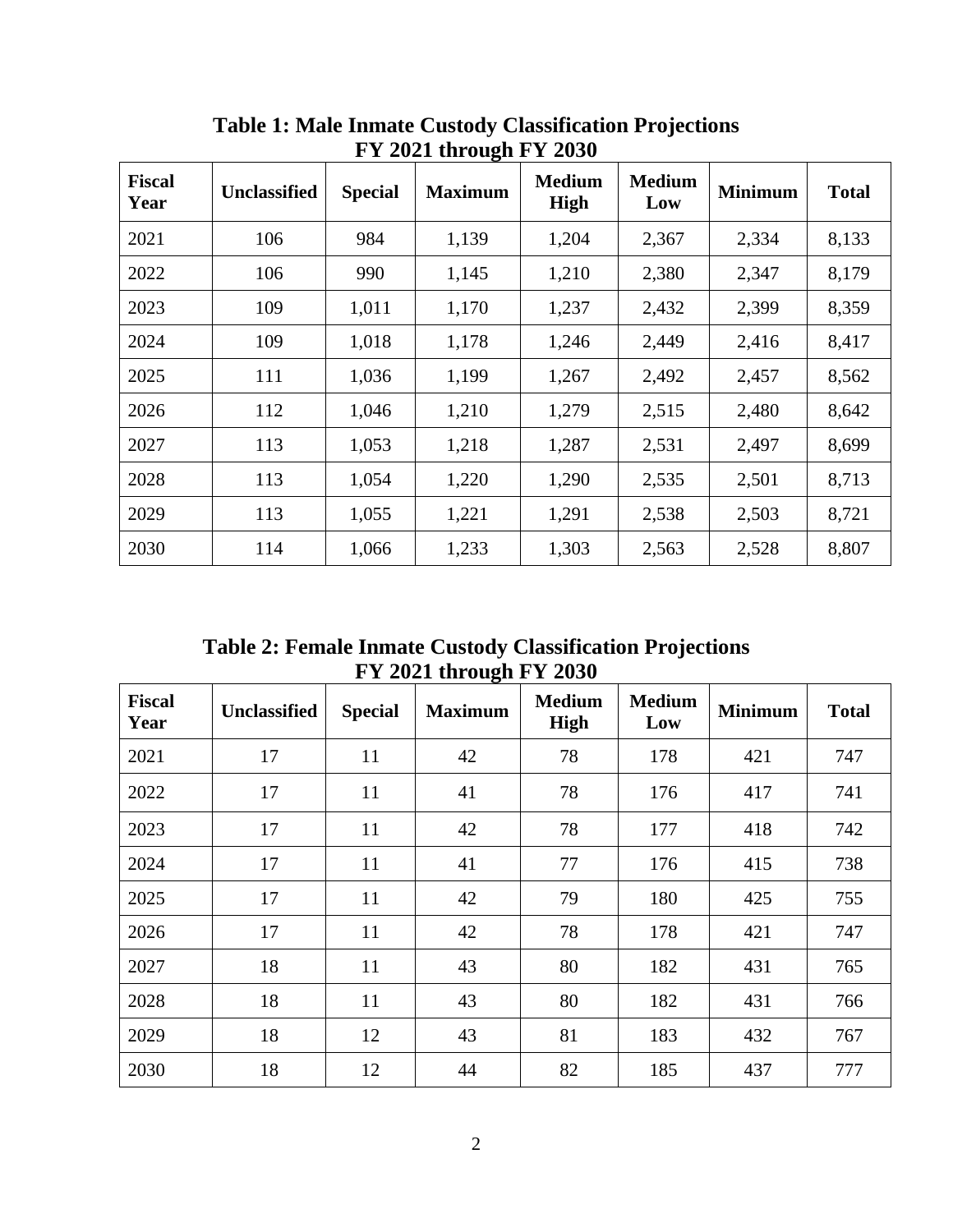| 1 1 2021 un ough 1 1 2050 |                     |                |                |                              |                      |                |              |  |
|---------------------------|---------------------|----------------|----------------|------------------------------|----------------------|----------------|--------------|--|
| <b>Fiscal</b><br>Year     | <b>Unclassified</b> | <b>Special</b> | <b>Maximum</b> | <b>Medium</b><br><b>High</b> | <b>Medium</b><br>Low | <b>Minimum</b> | <b>Total</b> |  |
| 2021                      | 106                 | 984            | 1,139          | 1,204                        | 2,367                | 2,334          | 8,133        |  |
| 2022                      | 106                 | 990            | 1,145          | 1,210                        | 2,380                | 2,347          | 8,179        |  |
| 2023                      | 109                 | 1,011          | 1,170          | 1,237                        | 2,432                | 2,399          | 8,359        |  |
| 2024                      | 109                 | 1,018          | 1,178          | 1,246                        | 2,449                | 2,416          | 8,417        |  |
| 2025                      | 111                 | 1,036          | 1,199          | 1,267                        | 2,492                | 2,457          | 8,562        |  |
| 2026                      | 112                 | 1,046          | 1,210          | 1,279                        | 2,515                | 2,480          | 8,642        |  |
| 2027                      | 113                 | 1,053          | 1,218          | 1,287                        | 2,531                | 2,497          | 8,699        |  |
| 2028                      | 113                 | 1,054          | 1,220          | 1,290                        | 2,535                | 2,501          | 8,713        |  |
| 2029                      | 113                 | 1,055          | 1,221          | 1,291                        | 2,538                | 2,503          | 8,721        |  |
| 2030                      | 114                 | 1,066          | 1,233          | 1,303                        | 2,563                | 2,528          | 8,807        |  |

**Table 1: Male Inmate Custody Classification Projections FY 2021 through FY 2030**

**Table 2: Female Inmate Custody Classification Projections FY 2021 through FY 2030**

| <b>Fiscal</b><br>Year | <b>Unclassified</b> | <b>Special</b> | <b>Maximum</b> | <b>Medium</b><br><b>High</b> | <b>Medium</b><br>Low | <b>Minimum</b> | <b>Total</b> |
|-----------------------|---------------------|----------------|----------------|------------------------------|----------------------|----------------|--------------|
| 2021                  | 17                  | 11             | 42             | 78                           | 178                  | 421            | 747          |
| 2022                  | 17                  | 11             | 41             | 78                           | 176                  | 417            | 741          |
| 2023                  | 17                  | 11             | 42             | 78                           | 177                  | 418            | 742          |
| 2024                  | 17                  | 11             | 41             | 77                           | 176                  | 415            | 738          |
| 2025                  | 17                  | 11             | 42             | 79                           | 180                  | 425            | 755          |
| 2026                  | 17                  | 11             | 42             | 78                           | 178                  | 421            | 747          |
| 2027                  | 18                  | 11             | 43             | 80                           | 182                  | 431            | 765          |
| 2028                  | 18                  | 11             | 43             | 80                           | 182                  | 431            | 766          |
| 2029                  | 18                  | 12             | 43             | 81                           | 183                  | 432            | 767          |
| 2030                  | 18                  | 12             | 44             | 82                           | 185                  | 437            | 777          |